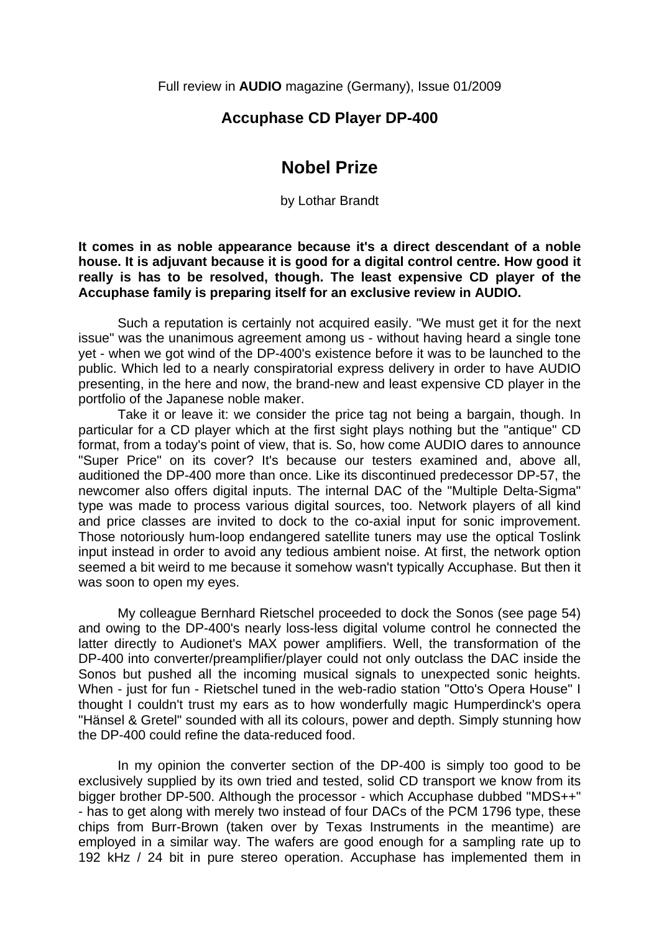Full review in **AUDIO** magazine (Germany), Issue 01/2009

## **Accuphase CD Player DP-400**

## **Nobel Prize**

by Lothar Brandt

**It comes in as noble appearance because it's a direct descendant of a noble house. It is adjuvant because it is good for a digital control centre. How good it really is has to be resolved, though. The least expensive CD player of the Accuphase family is preparing itself for an exclusive review in AUDIO.** 

 Such a reputation is certainly not acquired easily. "We must get it for the next issue" was the unanimous agreement among us - without having heard a single tone yet - when we got wind of the DP-400's existence before it was to be launched to the public. Which led to a nearly conspiratorial express delivery in order to have AUDIO presenting, in the here and now, the brand-new and least expensive CD player in the portfolio of the Japanese noble maker.

 Take it or leave it: we consider the price tag not being a bargain, though. In particular for a CD player which at the first sight plays nothing but the "antique" CD format, from a today's point of view, that is. So, how come AUDIO dares to announce "Super Price" on its cover? It's because our testers examined and, above all, auditioned the DP-400 more than once. Like its discontinued predecessor DP-57, the newcomer also offers digital inputs. The internal DAC of the "Multiple Delta-Sigma" type was made to process various digital sources, too. Network players of all kind and price classes are invited to dock to the co-axial input for sonic improvement. Those notoriously hum-loop endangered satellite tuners may use the optical Toslink input instead in order to avoid any tedious ambient noise. At first, the network option seemed a bit weird to me because it somehow wasn't typically Accuphase. But then it was soon to open my eyes.

 My colleague Bernhard Rietschel proceeded to dock the Sonos (see page 54) and owing to the DP-400's nearly loss-less digital volume control he connected the latter directly to Audionet's MAX power amplifiers. Well, the transformation of the DP-400 into converter/preamplifier/player could not only outclass the DAC inside the Sonos but pushed all the incoming musical signals to unexpected sonic heights. When - just for fun - Rietschel tuned in the web-radio station "Otto's Opera House" I thought I couldn't trust my ears as to how wonderfully magic Humperdinck's opera "Hänsel & Gretel" sounded with all its colours, power and depth. Simply stunning how the DP-400 could refine the data-reduced food.

 In my opinion the converter section of the DP-400 is simply too good to be exclusively supplied by its own tried and tested, solid CD transport we know from its bigger brother DP-500. Although the processor - which Accuphase dubbed "MDS++" - has to get along with merely two instead of four DACs of the PCM 1796 type, these chips from Burr-Brown (taken over by Texas Instruments in the meantime) are employed in a similar way. The wafers are good enough for a sampling rate up to 192 kHz / 24 bit in pure stereo operation. Accuphase has implemented them in